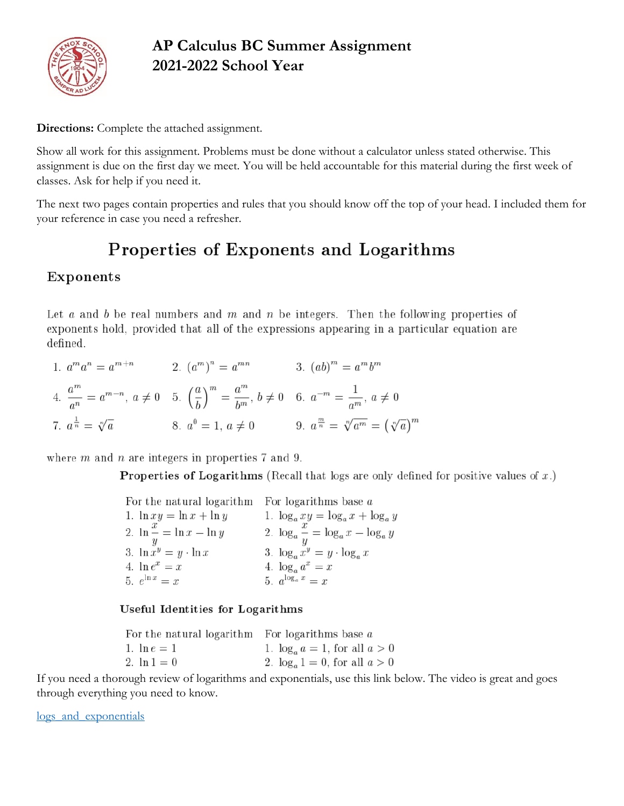

## **AP Calculus BC Summer Assignment 2021-2022 School Year**

**Directions:** Complete the attached assignment.

Show all work for this assignment. Problems must be done without a calculator unless stated otherwise. This assignment is due on the first day we meet. You will be held accountable for this material during the first week of classes. Ask for help if you need it.

The next two pages contain properties and rules that you should know off the top of your head. I included them for your reference in case you need a refresher.

# Properties of Exponents and Logarithms

## Exponents

Let  $a$  and  $b$  be real numbers and  $m$  and  $n$  be integers. Then the following properties of exponents hold, provided that all of the expressions appearing in a particular equation are defined.

| 1. $a^m a^n = a^{m+n}$             | 2. $(a^m)^n = a^{mn}$                                                                                                                      | 3. $(ab)^m = a^m b^m$                                  |
|------------------------------------|--------------------------------------------------------------------------------------------------------------------------------------------|--------------------------------------------------------|
|                                    | 4. $\frac{a^m}{a^n} = a^{m-n}, a \neq 0$ 5. $\left(\frac{a}{b}\right)^m = \frac{a^m}{b^m}, b \neq 0$ 6. $a^{-m} = \frac{1}{a^m}, a \neq 0$ |                                                        |
| 7. $a^{\frac{1}{n}} = \sqrt[n]{a}$ | 8. $a^0 = 1, a \neq 0$                                                                                                                     | 9. $a^{\frac{m}{n}} = \sqrt[n]{a^m} = (\sqrt[n]{a})^m$ |

where  $m$  and  $n$  are integers in properties 7 and 9.

**Properties of Logarithms** (Recall that logs are only defined for positive values of  $x$ .)

| For the natural logarithm For logarithms base a |                                               |
|-------------------------------------------------|-----------------------------------------------|
| 1. $\ln xy = \ln x + \ln y$                     | 1. $\log_a xy = \log_a x + \log_a y$          |
| 2. $\ln \frac{x}{x} = \ln x - \ln y$            | 2. $\log_a \frac{x}{y} = \log_a x - \log_a y$ |
| 3. $\ln x^y = y \cdot \ln x$                    | 3. $\log_a x^y = y \cdot \log_a x$            |
| 4. $\ln e^x = x$                                | 4. $\log_a a^x = x$                           |
| 5. $e^{\ln x} = x$                              | 5. $a^{\log_a x} = x$                         |

### Useful Identities for Logarithms

| For the natural logarithm For logarithms base $a$ |                                     |
|---------------------------------------------------|-------------------------------------|
| 1. $\ln e = 1$                                    | 1. $\log_a a = 1$ , for all $a > 0$ |
| 2. $\ln 1 = 0$                                    | 2. $\log_a 1 = 0$ , for all $a > 0$ |

If you need a thorough review of logarithms and exponentials, use this link below. The video is great and goes through everything you need to know.

logs and exponentials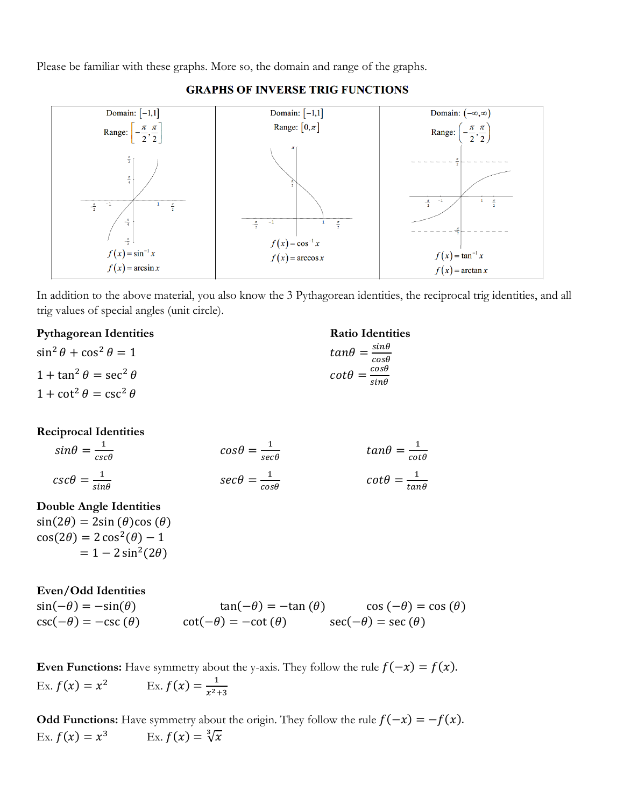Please be familiar with these graphs. More so, the domain and range of the graphs.



#### **GRAPHS OF INVERSE TRIG FUNCTIONS**

In addition to the above material, you also know the 3 Pythagorean identities, the reciprocal trig identities, and all trig values of special angles (unit circle).

#### **Pythagorean Identities Ratio Identities**

| $\sin^2 \theta + \cos^2 \theta = 1$ | $tan\theta = \frac{sin\theta}{cos\theta}$    |
|-------------------------------------|----------------------------------------------|
| $1 + \tan^2 \theta = \sec^2 \theta$ | $\cot\theta = \frac{\cos\theta}{\sin\theta}$ |
| $1 + \cot^2 \theta = \csc^2 \theta$ |                                              |

#### **Reciprocal Identities**

| $sin\theta = \frac{1}{csc\theta}$ | $cos\theta = \frac{1}{sec\theta}$ | $tan\theta = \frac{1}{cot\theta}$   |
|-----------------------------------|-----------------------------------|-------------------------------------|
| $csc\theta = \frac{1}{sin\theta}$ | $sec\theta = \frac{1}{cos\theta}$ | $\cot\theta = \frac{1}{\tan\theta}$ |

### **Double Angle Identities**

 $sin(2\theta) = 2sin(\theta)cos(\theta)$  $cos(2\theta) = 2 cos^2(\theta) - 1$  $= 1 - 2 \sin^2(2\theta)$ 

**Even/Odd Identities**  $sin(-\theta) = -sin(\theta)$  tan(− $\theta$ ) = -tan ( $\theta$ ) cos (− $\theta$ ) = cos ( $\theta$ )  $\csc(-\theta) = -\csc(\theta)$   $\cot(-\theta) = -\cot(\theta)$   $\sec(-\theta) = \sec(\theta)$ 

**Even Functions:** Have symmetry about the y-axis. They follow the rule  $f(-x) = f(x)$ . Ex.  $f(x) = x^2$ <sup>2</sup> Ex.  $f(x) = \frac{1}{x^2}$  $x^2+3$ 

**Odd Functions:** Have symmetry about the origin. They follow the rule  $f(-x) = -f(x)$ . Ex.  $f(x) = x^3$ <sup>3</sup> Ex.  $f(x) = \sqrt[3]{x}$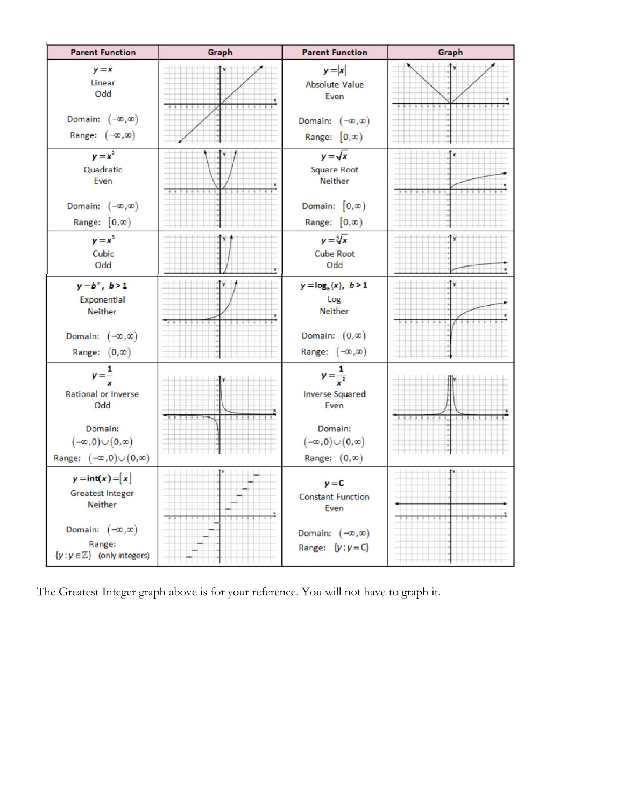

The Greatest Integer graph above is for your reference. You will not have to graph it.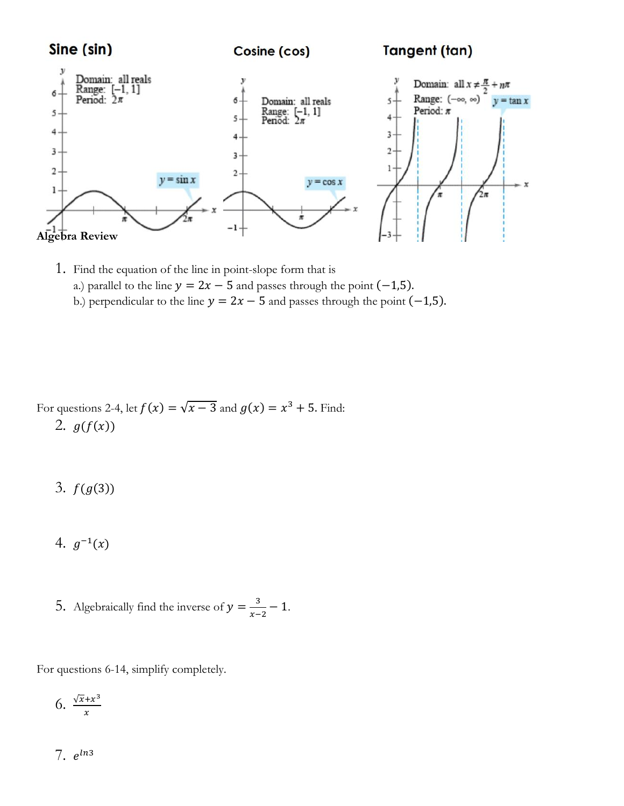

1. Find the equation of the line in point-slope form that is a.) parallel to the line  $y = 2x - 5$  and passes through the point (-1,5). b.) perpendicular to the line  $y = 2x - 5$  and passes through the point (-1,5).

For questions 2-4, let 
$$
f(x) = \sqrt{x-3}
$$
 and  $g(x) = x^3 + 5$ . Find:  
2.  $g(f(x))$ 

- 3.  $f(g(3))$
- 4.  $g^{-1}(x)$
- 5. Algebraically find the inverse of  $y = \frac{3}{x}$  $\frac{3}{x-2} - 1.$

For questions 6-14, simplify completely.

$$
6. \ \frac{\sqrt{x}+x^3}{x}
$$

7.  $e^{ln3}$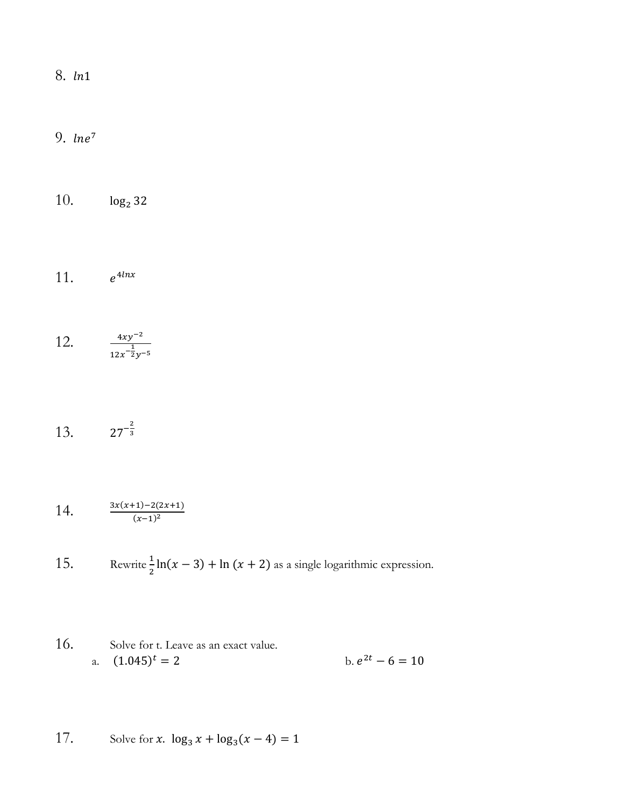8. *ln*1

9.  $\ln e^7$ 

10.  $log_2 32$ 

11.  $e^{4lnx}$ 

12.  $\frac{4xy^{-2}}{1}$  $12x^{-\frac{1}{2}}y^{-5}$ 

13.  $27^{-\frac{2}{3}}$ 3

14. 
$$
\frac{3x(x+1)-2(2x+1)}{(x-1)^2}
$$

15. Rewrite  $\frac{1}{2} \ln(x-3) + \ln(x+2)$  as a single logarithmic expression.

16. Solve for t. Leave as an exact value.  
a. 
$$
(1.045)^t = 2
$$
 b.  $e^{2t} - 6 = 10$ 

17. Solve for x.  $\log_3 x + \log_3(x - 4) = 1$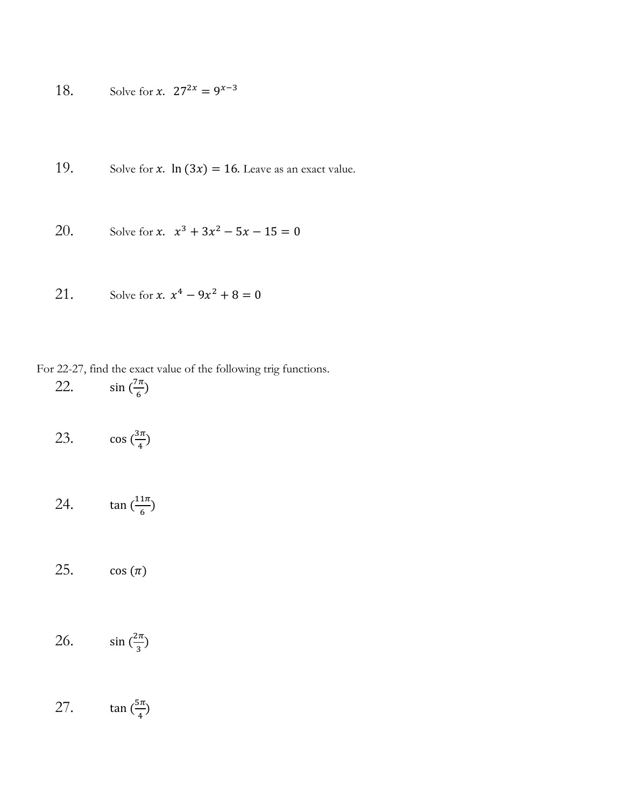18. Solve for *x*. 
$$
27^{2x} = 9^{x-3}
$$

19. Solve for 
$$
x
$$
. In (3 $x$ ) = 16. Leave as an exact value.

20. Solve for 
$$
x
$$
.  $x^3 + 3x^2 - 5x - 15 = 0$ 

21. Solve for 
$$
x
$$
.  $x^4 - 9x^2 + 8 = 0$ 

### For 22-27, find the exact value of the following trig functions.

$$
22. \qquad \sin\left(\frac{7\pi}{6}\right)
$$

| 23. | $\cos\left(\frac{3\pi}{4}\right)$ |
|-----|-----------------------------------|
|-----|-----------------------------------|

$$
24. \qquad \tan\left(\frac{11\pi}{6}\right)
$$

25.  $\cos(\pi)$ 

$$
26. \qquad \sin\left(\frac{2\pi}{3}\right)
$$

#### 27. tan  $\left(\frac{5\pi}{4}\right)$  $\frac{3\pi}{4}$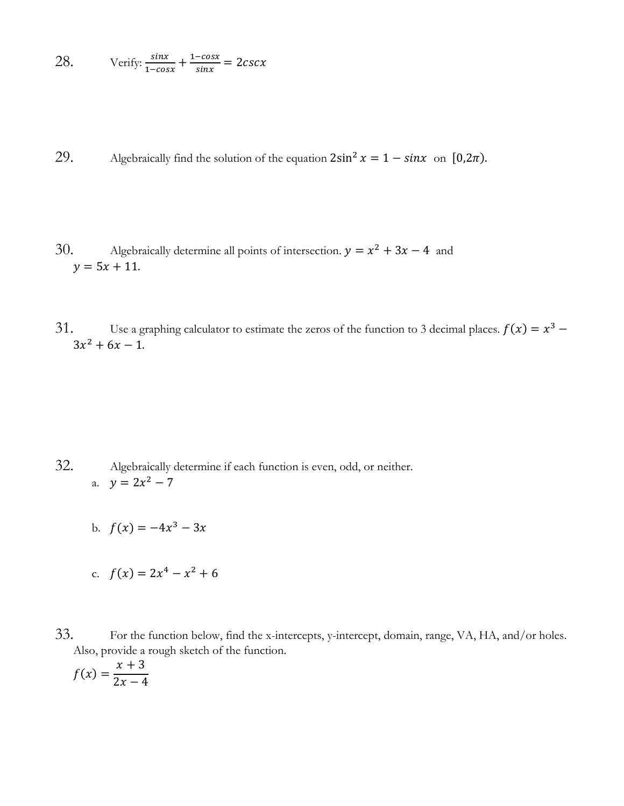28. Verify: 
$$
\frac{\sin x}{1-\cos x} + \frac{1-\cos x}{\sin x} = 2csc x
$$

29. Algebraically find the solution of the equation  $2\sin^2 x = 1 - \sin x$  on  $[0, 2\pi)$ .

- 30. Algebraically determine all points of intersection.  $y = x^2 + 3x 4$  and  $y = 5x + 11.$
- 31. Use a graphing calculator to estimate the zeros of the function to 3 decimal places.  $f(x) = x^3 3x^2 + 6x - 1$ .

- 32. Algebraically determine if each function is even, odd, or neither. a.  $y = 2x^2 - 7$ 
	- b.  $f(x) = -4x^3 3x$
	- c.  $f(x) = 2x^4 x^2 + 6$
- 33. For the function below, find the x-intercepts, y-intercept, domain, range, VA, HA, and/or holes. Also, provide a rough sketch of the function.

$$
f(x) = \frac{x+3}{2x-4}
$$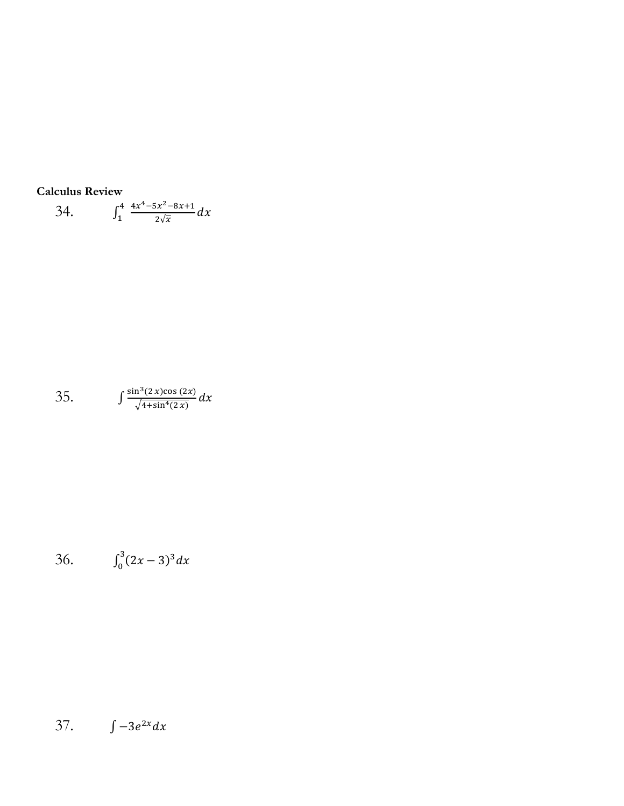Calculus Review  
34. 
$$
\int_{1}^{4} \frac{4x^4 - 5x^2 - 8x + 1}{2\sqrt{x}} dx
$$

35. 
$$
\int \frac{\sin^3(2x)\cos(2x)}{\sqrt{4+\sin^4(2x)}} dx
$$

36. 
$$
\int_0^3 (2x-3)^3 dx
$$

37.  $\int -3e^{2x} dx$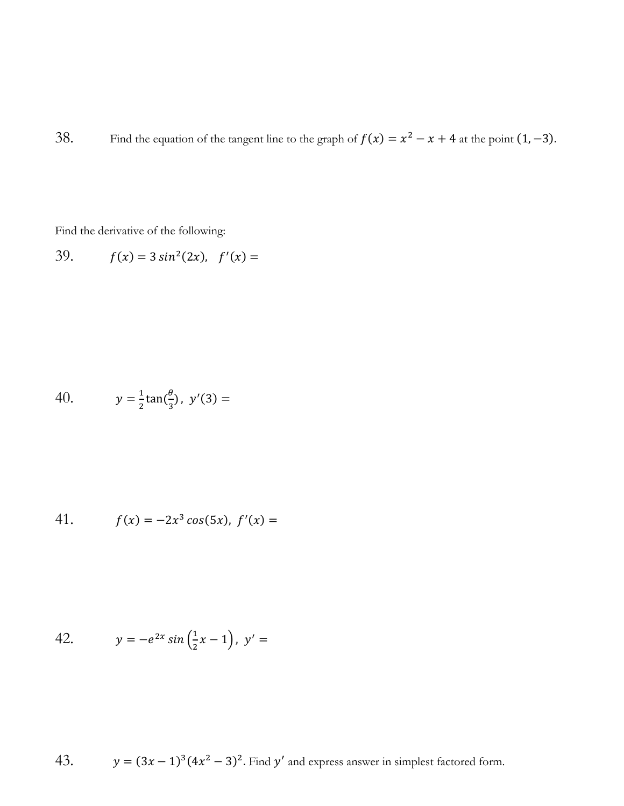38. Find the equation of the tangent line to the graph of  $f(x) = x^2 - x + 4$  at the point  $(1, -3)$ .

Find the derivative of the following:

39. 
$$
f(x) = 3 \sin^2(2x), \quad f'(x) =
$$

40. 
$$
y = \frac{1}{2} \tan(\frac{\theta}{3}), y'(3) =
$$

41. 
$$
f(x) = -2x^3 \cos(5x), \ f'(x) =
$$

42. 
$$
y = -e^{2x} \sin\left(\frac{1}{2}x - 1\right), \ y' =
$$

43. 
$$
y = (3x - 1)^3 (4x^2 - 3)^2
$$
. Find y' and express answer in simplest factored form.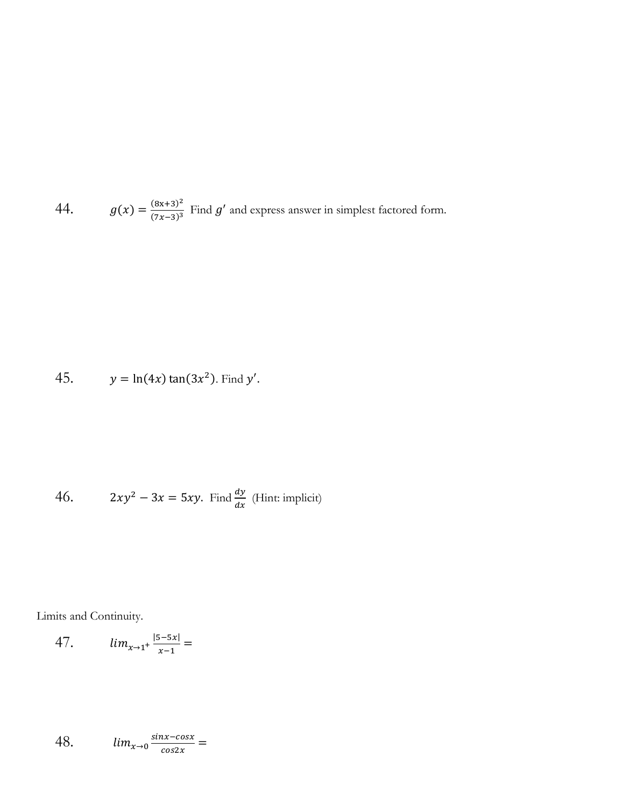44.  $g(x) = \frac{(8x+3)^2}{(7x-3)^3}$  $\frac{(8x+3)^2}{(7x-3)^3}$  Find g' and express answer in simplest factored form.

45. 
$$
y = \ln(4x) \tan(3x^2)
$$
. Find y'.

46. 
$$
2xy^2 - 3x = 5xy.
$$
 Find  $\frac{dy}{dx}$  (Hint: implicit)

Limits and Continuity.

47. 
$$
\lim_{x \to 1^+} \frac{|5-5x|}{x-1} =
$$

48. 
$$
\lim_{x\to 0} \frac{\sin x - \cos x}{\cos 2x} =
$$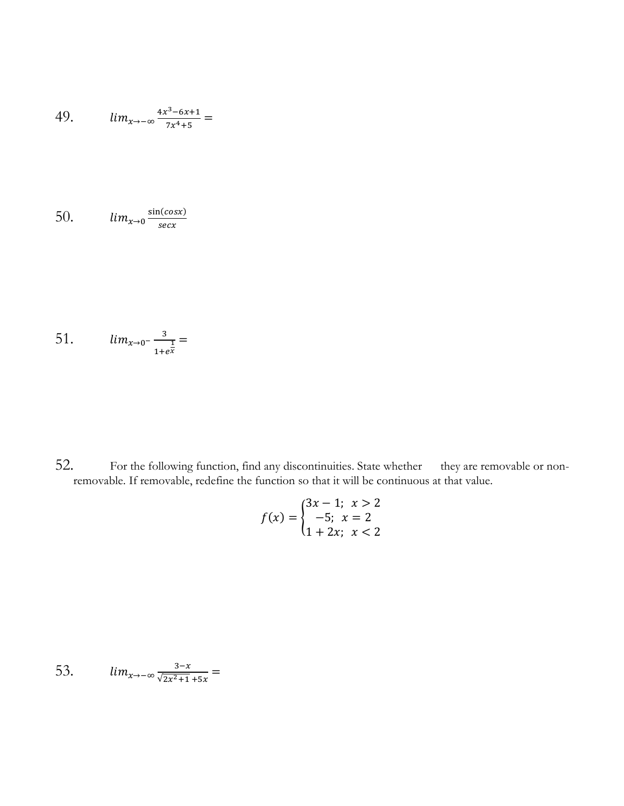49. 
$$
\lim_{x \to -\infty} \frac{4x^3 - 6x + 1}{7x^4 + 5} =
$$

50. 
$$
\lim_{x \to 0} \frac{\sin(\cos x)}{\sec x}
$$

51. 
$$
\lim_{x \to 0^{-}} \frac{3}{1 + e^{\frac{1}{x}}} =
$$

52. For the following function, find any discontinuities. State whether they are removable or nonremovable. If removable, redefine the function so that it will be continuous at that value.

$$
f(x) = \begin{cases} 3x - 1; & x > 2 \\ -5; & x = 2 \\ 1 + 2x; & x < 2 \end{cases}
$$

53.  $lim_{x\to-\infty}\frac{3-x}{\sqrt{2x^2+1}}$  $\frac{3-x}{\sqrt{2x^2+1}+5x}$  =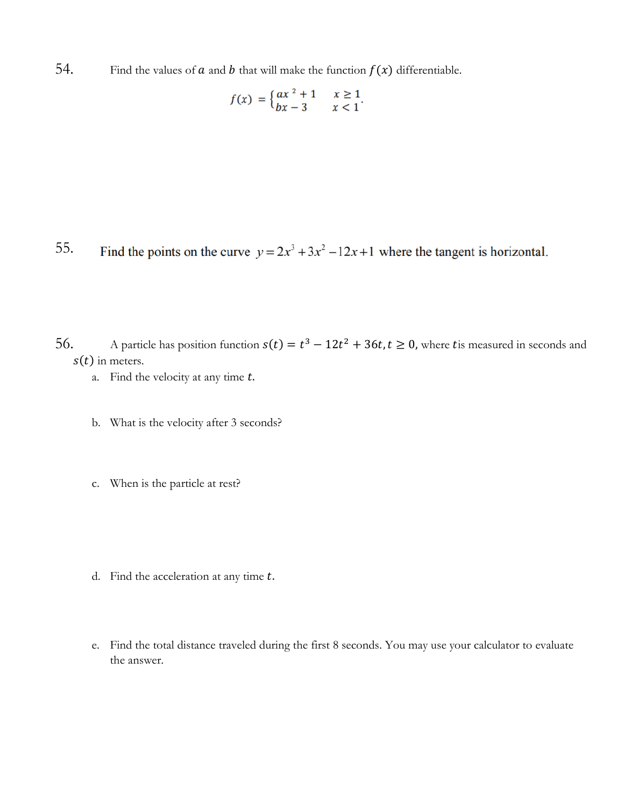54. Find the values of  $\alpha$  and  $\beta$  that will make the function  $f(x)$  differentiable.

$$
f(x) = \begin{cases} ax^2 + 1 & x \ge 1 \\ bx - 3 & x < 1 \end{cases}.
$$

55. Find the points on the curve  $y = 2x^3 + 3x^2 - 12x + 1$  where the tangent is horizontal.

56. A particle has position function  $s(t) = t^3 - 12t^2 + 36t$ ,  $t \ge 0$ , where tis measured in seconds and  $s(t)$  in meters.

- a. Find the velocity at any time  $t$ .
- b. What is the velocity after 3 seconds?
- c. When is the particle at rest?
- d. Find the acceleration at any time  $t$ .
- e. Find the total distance traveled during the first 8 seconds. You may use your calculator to evaluate the answer.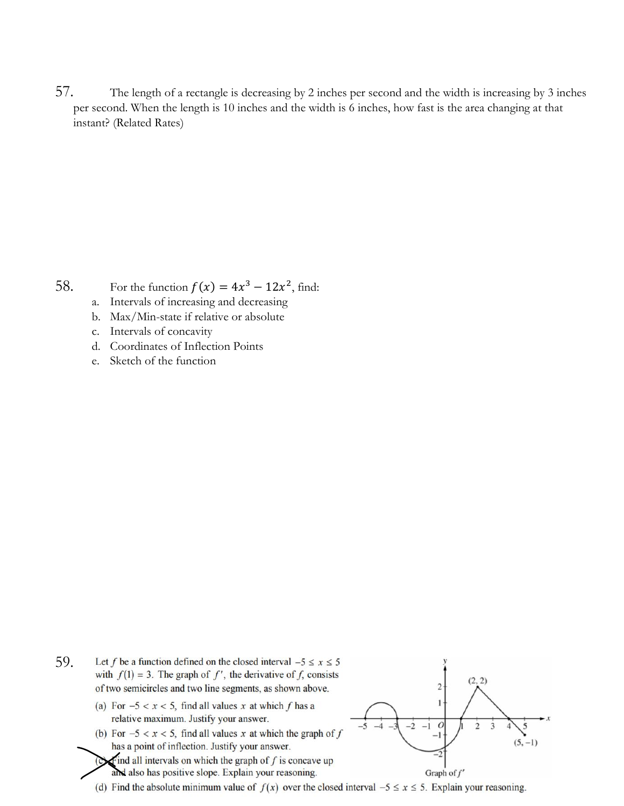57. The length of a rectangle is decreasing by 2 inches per second and the width is increasing by 3 inches per second. When the length is 10 inches and the width is 6 inches, how fast is the area changing at that instant? (Related Rates)

58. For the function  $f(x) = 4x^3 - 12x^2$ , find:

- a. Intervals of increasing and decreasing
- b. Max/Min-state if relative or absolute
- c. Intervals of concavity
- d. Coordinates of Inflection Points
- e. Sketch of the function

- 59.Let f be a function defined on the closed interval  $-5 \le x \le 5$ with  $f(1) = 3$ . The graph of f', the derivative of f, consists of two semicircles and two line segments, as shown above.
	- (a) For  $-5 < x < 5$ , find all values x at which f has a relative maximum. Justify your answer.
	- (b) For  $-5 < x < 5$ , find all values x at which the graph of f has a point of inflection. Justify your answer.
	- $\bullet$  all intervals on which the graph of f is concave up and also has positive slope. Explain your reasoning.



(d) Find the absolute minimum value of  $f(x)$  over the closed interval  $-5 \le x \le 5$ . Explain your reasoning.